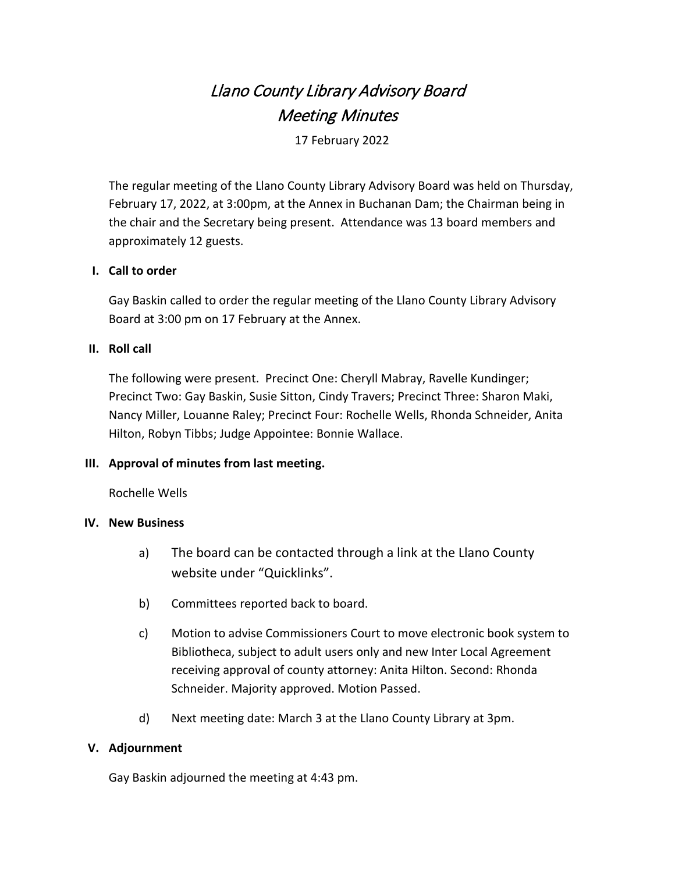# Llano County Library Advisory Board Meeting Minutes

17 February 2022

The regular meeting of the Llano County Library Advisory Board was held on Thursday, February 17, 2022, at 3:00pm, at the Annex in Buchanan Dam; the Chairman being in the chair and the Secretary being present. Attendance was 13 board members and approximately 12 guests.

# **I. Call to order**

Gay Baskin called to order the regular meeting of the Llano County Library Advisory Board at 3:00 pm on 17 February at the Annex.

# **II. Roll call**

The following were present. Precinct One: Cheryll Mabray, Ravelle Kundinger; Precinct Two: Gay Baskin, Susie Sitton, Cindy Travers; Precinct Three: Sharon Maki, Nancy Miller, Louanne Raley; Precinct Four: Rochelle Wells, Rhonda Schneider, Anita Hilton, Robyn Tibbs; Judge Appointee: Bonnie Wallace.

### **III. Approval of minutes from last meeting.**

Rochelle Wells

### **IV. New Business**

- a) The board can be contacted through a link at the Llano County website under "Quicklinks".
- b) Committees reported back to board.
- c) Motion to advise Commissioners Court to move electronic book system to Bibliotheca, subject to adult users only and new Inter Local Agreement receiving approval of county attorney: Anita Hilton. Second: Rhonda Schneider. Majority approved. Motion Passed.
- d) Next meeting date: March 3 at the Llano County Library at 3pm.

### **V. Adjournment**

Gay Baskin adjourned the meeting at 4:43 pm.